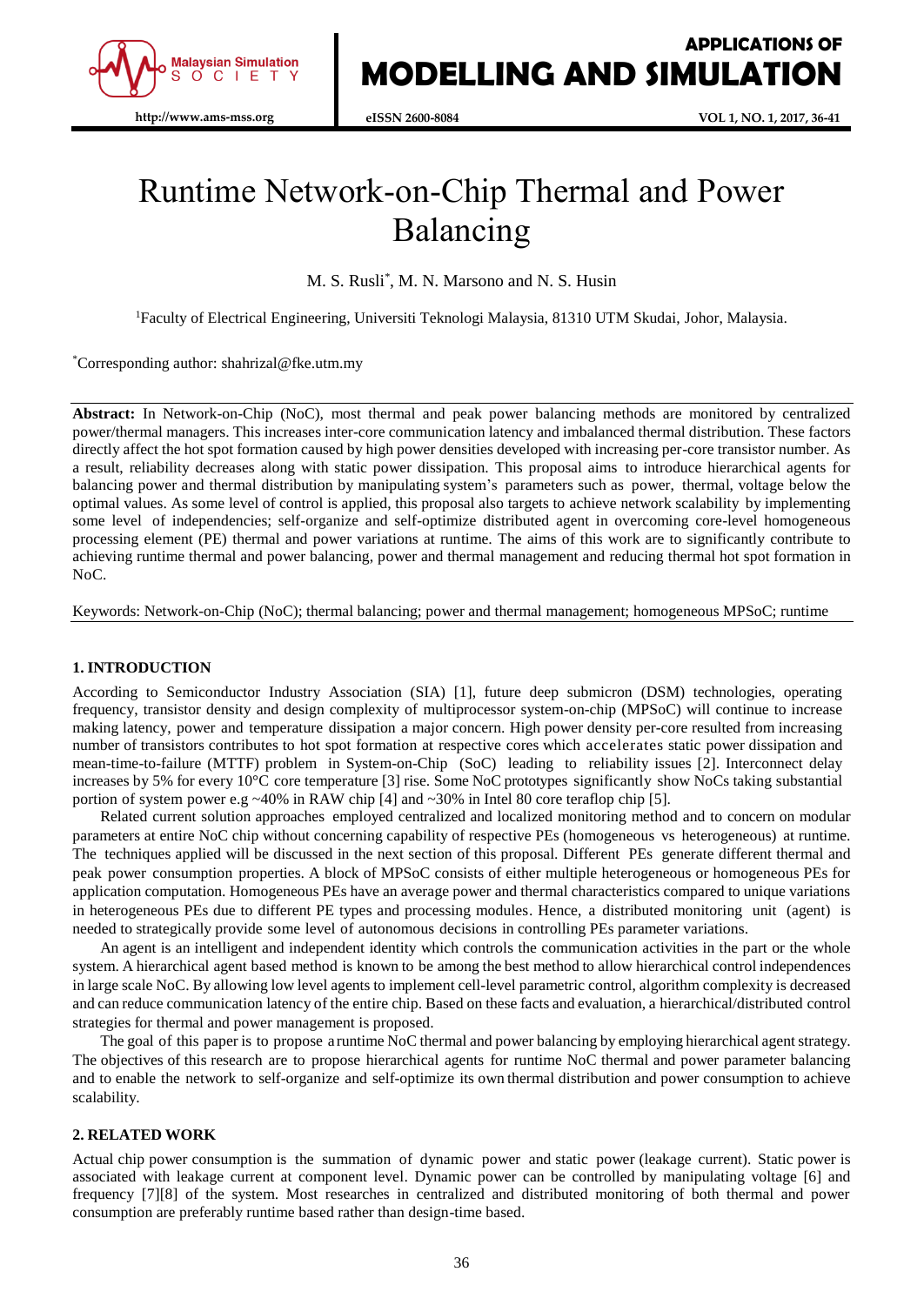

# Runtime Network-on-Chip Thermal and Power Balancing

M. S. Rusli\* , M. N. Marsono and N. S. Husin

<sup>1</sup>Faculty of Electrical Engineering, Universiti Teknologi Malaysia, 81310 UTM Skudai, Johor, Malaysia.

\*Corresponding author: shahrizal@fke.utm.my

**Abstract:** In Network-on-Chip (NoC), most thermal and peak power balancing methods are monitored by centralized power/thermal managers. This increases inter-core communication latency and imbalanced thermal distribution. These factors directly affect the hot spot formation caused by high power densities developed with increasing per-core transistor number. As a result, reliability decreases along with static power dissipation. This proposal aims to introduce hierarchical agents for balancing power and thermal distribution by manipulating system's parameters such as power, thermal, voltage below the optimal values. As some level of control is applied, this proposal also targets to achieve network scalability by implementing some level of independencies; self-organize and self-optimize distributed agent in overcoming core-level homogeneous processing element (PE) thermal and power variations at runtime. The aims of this work are to significantly contribute to achieving runtime thermal and power balancing, power and thermal management and reducing thermal hot spot formation in NoC.

Keywords: Network-on-Chip (NoC); thermal balancing; power and thermal management; homogeneous MPSoC; runtime

## **1. INTRODUCTION**

According to Semiconductor Industry Association (SIA) [1], future deep submicron (DSM) technologies, operating frequency, transistor density and design complexity of multiprocessor system-on-chip (MPSoC) will continue to increase making latency, power and temperature dissipation a major concern. High power density per-core resulted from increasing number of transistors contributes to hot spot formation at respective cores which accelerates static power dissipation and mean-time-to-failure (MTTF) problem in System-on-Chip (SoC) leading to reliability issues [2]. Interconnect delay increases by 5% for every 10°C core temperature [3] rise. Some NoC prototypes significantly show NoCs taking substantial portion of system power e.g  $\sim$ 40% in RAW chip [4] and  $\sim$ 30% in Intel 80 core teraflop chip [5].

Related current solution approaches employed centralized and localized monitoring method and to concern on modular parameters at entire NoC chip without concerning capability of respective PEs (homogeneous vs heterogeneous) at runtime. The techniques applied will be discussed in the next section of this proposal. Different PEs generate different thermal and peak power consumption properties. A block of MPSoC consists of either multiple heterogeneous or homogeneous PEs for application computation. Homogeneous PEs have an average power and thermal characteristics compared to unique variations in heterogeneous PEs due to different PE types and processing modules. Hence, a distributed monitoring unit (agent) is needed to strategically provide some level of autonomous decisions in controlling PEs parameter variations.

An agent is an intelligent and independent identity which controls the communication activities in the part or the whole system. A hierarchical agent based method is known to be among the best method to allow hierarchical control independences in large scale NoC. By allowing low level agents to implement cell-level parametric control, algorithm complexity is decreased and can reduce communication latency of the entire chip. Based on these facts and evaluation, a hierarchical/distributed control strategies for thermal and power management is proposed.

The goal of this paper is to propose a runtime NoC thermal and power balancing by employing hierarchical agent strategy. The objectives of this research are to propose hierarchical agents for runtime NoC thermal and power parameter balancing and to enable the network to self-organize and self-optimize its own thermal distribution and power consumption to achieve scalability.

## **2. RELATED WORK**

Actual chip power consumption is the summation of dynamic power and static power (leakage current). Static power is associated with leakage current at component level. Dynamic power can be controlled by manipulating voltage [6] and frequency [7][8] of the system. Most researches in centralized and distributed monitoring of both thermal and power consumption are preferably runtime based rather than design-time based.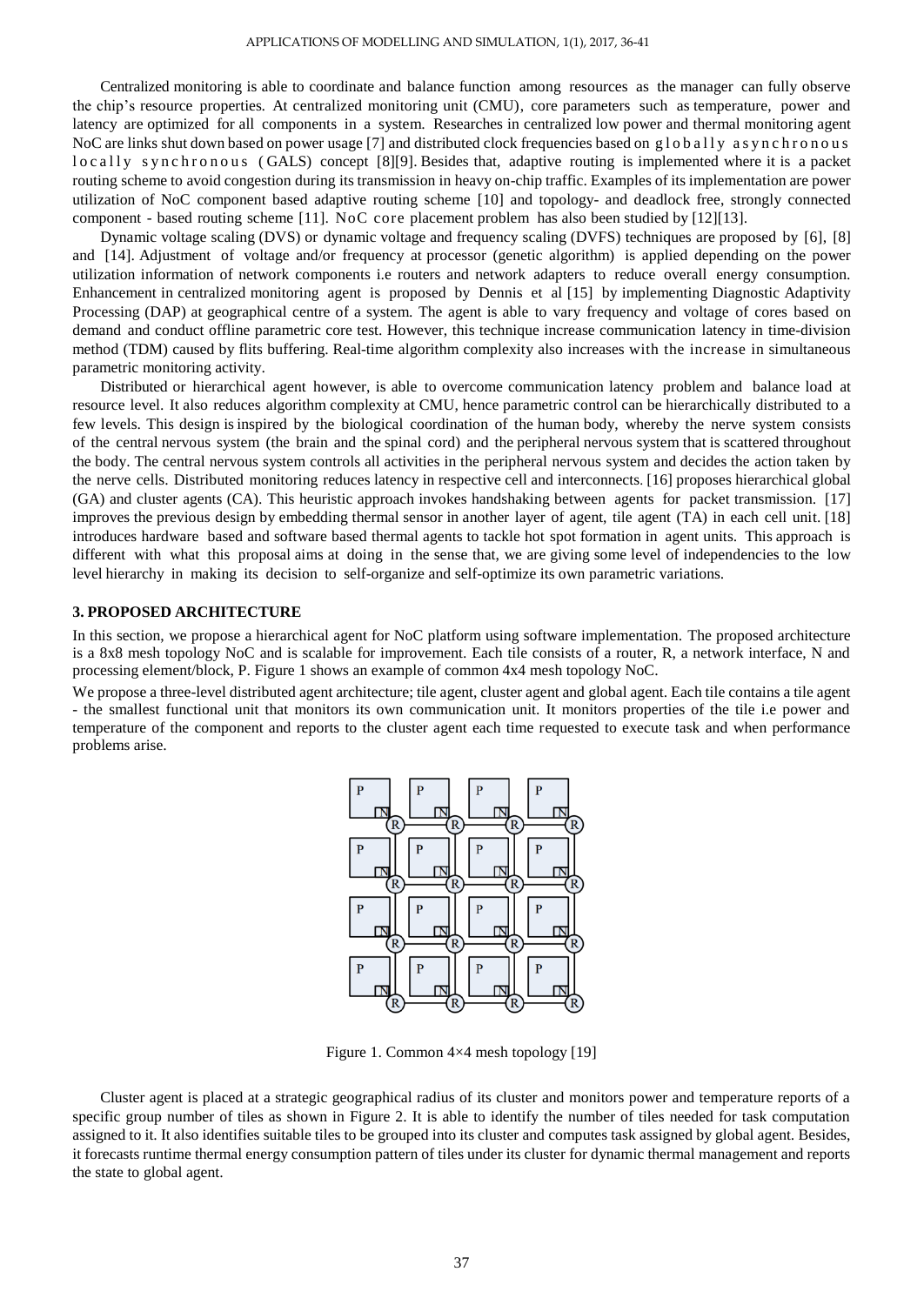Centralized monitoring is able to coordinate and balance function among resources as the manager can fully observe the chip's resource properties. At centralized monitoring unit (CMU), core parameters such as temperature, power and latency are optimized for all components in a system. Researches in centralized low power and thermal monitoring agent NoC are links shut down based on power usage [7] and distributed clock frequencies based on globally asynchronous l o c all y s y n c h r o n o u s (GALS) concept [8][9]. Besides that, adaptive routing is implemented where it is a packet routing scheme to avoid congestion during its transmission in heavy on-chip traffic. Examples of its implementation are power utilization of NoC component based adaptive routing scheme [10] and topology- and deadlock free, strongly connected component - based routing scheme [11]. NoC core placement problem has also been studied by [12][13].

Dynamic voltage scaling (DVS) or dynamic voltage and frequency scaling (DVFS) techniques are proposed by [6], [8] and [14]. Adjustment of voltage and/or frequency at processor (genetic algorithm) is applied depending on the power utilization information of network components i.e routers and network adapters to reduce overall energy consumption. Enhancement in centralized monitoring agent is proposed by Dennis et al [15] by implementing Diagnostic Adaptivity Processing (DAP) at geographical centre of a system. The agent is able to vary frequency and voltage of cores based on demand and conduct offline parametric core test. However, this technique increase communication latency in time-division method (TDM) caused by flits buffering. Real-time algorithm complexity also increases with the increase in simultaneous parametric monitoring activity.

Distributed or hierarchical agent however, is able to overcome communication latency problem and balance load at resource level. It also reduces algorithm complexity at CMU, hence parametric control can be hierarchically distributed to a few levels. This design isinspired by the biological coordination of the human body, whereby the nerve system consists of the central nervous system (the brain and the spinal cord) and the peripheral nervous system that is scattered throughout the body. The central nervous system controls all activities in the peripheral nervous system and decides the action taken by the nerve cells. Distributed monitoring reduces latency in respective cell and interconnects. [16] proposes hierarchical global (GA) and cluster agents (CA). This heuristic approach invokes handshaking between agents for packet transmission. [17] improves the previous design by embedding thermal sensor in another layer of agent, tile agent (TA) in each cell unit. [18] introduces hardware based and software based thermal agents to tackle hot spot formation in agent units. This approach is different with what this proposal aims at doing in the sense that, we are giving some level of independencies to the low level hierarchy in making its decision to self-organize and self-optimize its own parametric variations.

### **3. PROPOSED ARCHITECTURE**

In this section, we propose a hierarchical agent for NoC platform using software implementation. The proposed architecture is a 8x8 mesh topology NoC and is scalable for improvement. Each tile consists of a router, R, a network interface, N and processing element/block, P. Figure 1 shows an example of common 4x4 mesh topology NoC.

We propose a three-level distributed agent architecture; tile agent, cluster agent and global agent. Each tile contains a tile agent - the smallest functional unit that monitors its own communication unit. It monitors properties of the tile i.e power and temperature of the component and reports to the cluster agent each time requested to execute task and when performance problems arise.



Figure 1. Common 4×4 mesh topology [19]

Cluster agent is placed at a strategic geographical radius of its cluster and monitors power and temperature reports of a specific group number of tiles as shown in Figure 2. It is able to identify the number of tiles needed for task computation assigned to it. It also identifies suitable tiles to be grouped into its cluster and computes task assigned by global agent. Besides, it forecasts runtime thermal energy consumption pattern of tiles under its cluster for dynamic thermal management and reports the state to global agent.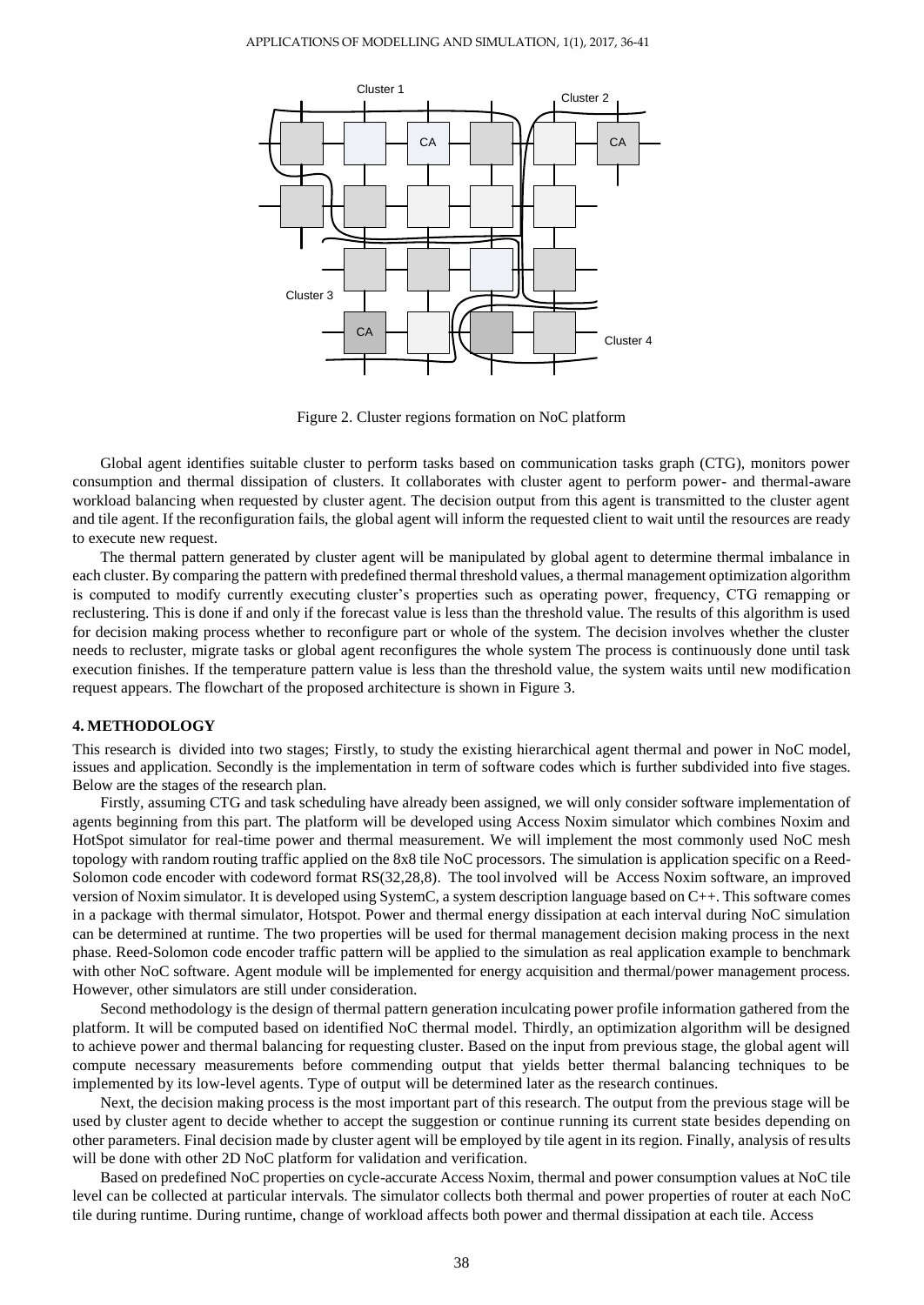

Figure 2. Cluster regions formation on NoC platform

Global agent identifies suitable cluster to perform tasks based on communication tasks graph (CTG), monitors power consumption and thermal dissipation of clusters. It collaborates with cluster agent to perform power- and thermal-aware workload balancing when requested by cluster agent. The decision output from this agent is transmitted to the cluster agent and tile agent. If the reconfiguration fails, the global agent will inform the requested client to wait until the resources are ready to execute new request.

The thermal pattern generated by cluster agent will be manipulated by global agent to determine thermal imbalance in each cluster. By comparing the pattern with predefined thermal threshold values, a thermal management optimization algorithm is computed to modify currently executing cluster's properties such as operating power, frequency, CTG remapping or reclustering. This is done if and only if the forecast value is less than the threshold value. The results of this algorithm is used for decision making process whether to reconfigure part or whole of the system. The decision involves whether the cluster needs to recluster, migrate tasks or global agent reconfigures the whole system The process is continuously done until task execution finishes. If the temperature pattern value is less than the threshold value, the system waits until new modification request appears. The flowchart of the proposed architecture is shown in Figure 3.

#### **4. METHODOLOGY**

This research is divided into two stages; Firstly, to study the existing hierarchical agent thermal and power in NoC model, issues and application. Secondly is the implementation in term of software codes which is further subdivided into five stages. Below are the stages of the research plan.

Firstly, assuming CTG and task scheduling have already been assigned, we will only consider software implementation of agents beginning from this part. The platform will be developed using Access Noxim simulator which combines Noxim and HotSpot simulator for real-time power and thermal measurement. We will implement the most commonly used NoC mesh topology with random routing traffic applied on the 8x8 tile NoC processors. The simulation is application specific on a Reed-Solomon code encoder with codeword format RS(32,28,8). The tool involved will be Access Noxim software, an improved version of Noxim simulator. It is developed using SystemC, a system description language based on C++. This software comes in a package with thermal simulator, Hotspot. Power and thermal energy dissipation at each interval during NoC simulation can be determined at runtime. The two properties will be used for thermal management decision making process in the next phase. Reed-Solomon code encoder traffic pattern will be applied to the simulation as real application example to benchmark with other NoC software. Agent module will be implemented for energy acquisition and thermal/power management process. However, other simulators are still under consideration.

Second methodology is the design of thermal pattern generation inculcating power profile information gathered from the platform. It will be computed based on identified NoC thermal model. Thirdly, an optimization algorithm will be designed to achieve power and thermal balancing for requesting cluster. Based on the input from previous stage, the global agent will compute necessary measurements before commending output that yields better thermal balancing techniques to be implemented by its low-level agents. Type of output will be determined later as the research continues.

Next, the decision making process is the most important part of this research. The output from the previous stage will be used by cluster agent to decide whether to accept the suggestion or continue running its current state besides depending on other parameters. Final decision made by cluster agent will be employed by tile agent in its region. Finally, analysis of results will be done with other 2D NoC platform for validation and verification.

Based on predefined NoC properties on cycle-accurate Access Noxim, thermal and power consumption values at NoC tile level can be collected at particular intervals. The simulator collects both thermal and power properties of router at each NoC tile during runtime. During runtime, change of workload affects both power and thermal dissipation at each tile. Access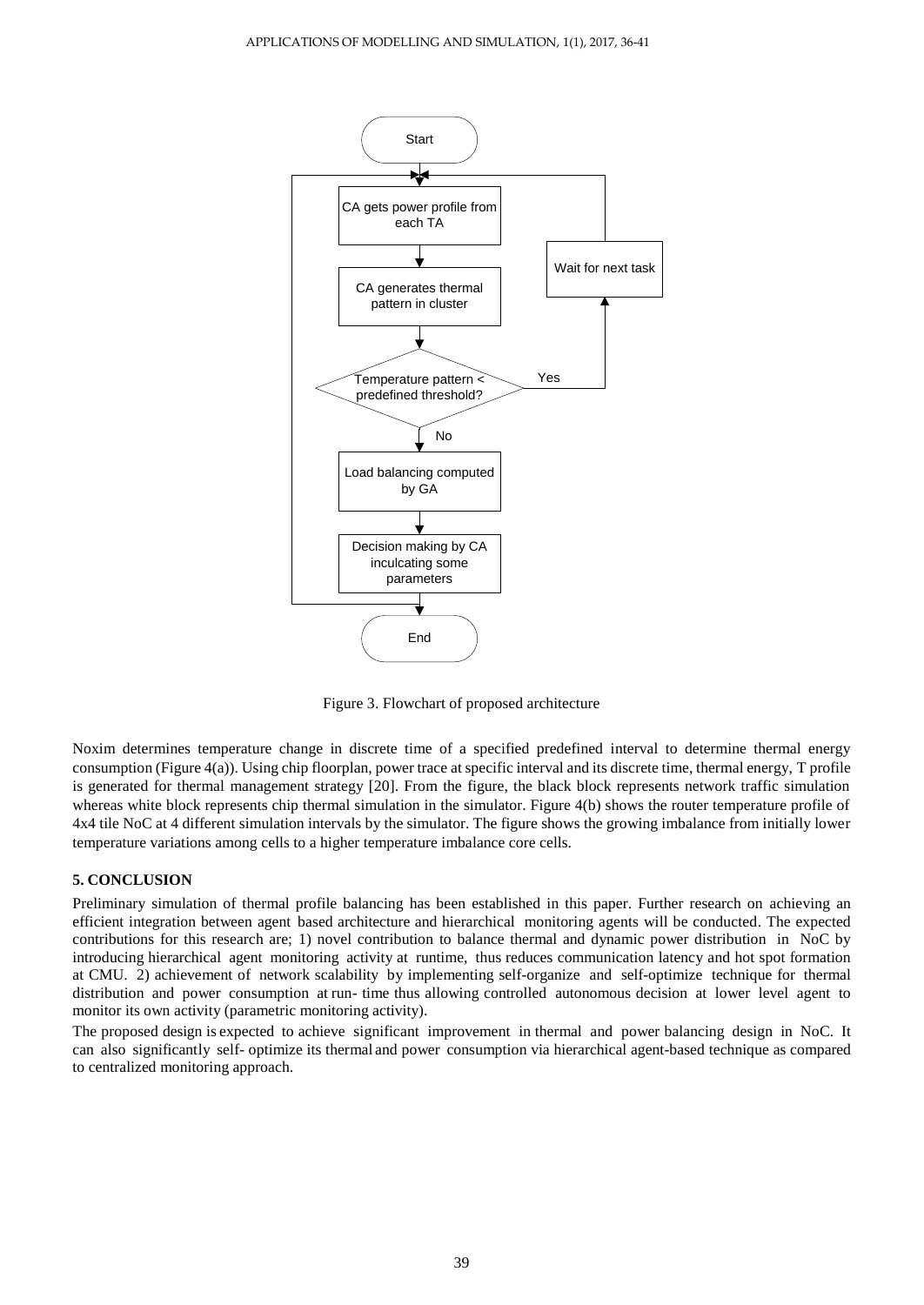

Figure 3. Flowchart of proposed architecture

Noxim determines temperature change in discrete time of a specified predefined interval to determine thermal energy consumption (Figure 4(a)). Using chip floorplan, power trace at specific interval and its discrete time, thermal energy, T profile is generated for thermal management strategy [20]. From the figure, the black block represents network traffic simulation whereas white block represents chip thermal simulation in the simulator. Figure 4(b) shows the router temperature profile of 4x4 tile NoC at 4 different simulation intervals by the simulator. The figure shows the growing imbalance from initially lower temperature variations among cells to a higher temperature imbalance core cells.

## **5. CONCLUSION**

Preliminary simulation of thermal profile balancing has been established in this paper. Further research on achieving an efficient integration between agent based architecture and hierarchical monitoring agents will be conducted. The expected contributions for this research are; 1) novel contribution to balance thermal and dynamic power distribution in NoC by introducing hierarchical agent monitoring activity at runtime, thus reduces communication latency and hot spot formation at CMU. 2) achievement of network scalability by implementing self-organize and self-optimize technique for thermal distribution and power consumption at run- time thus allowing controlled autonomous decision at lower level agent to monitor its own activity (parametric monitoring activity).

The proposed design is expected to achieve significant improvement in thermal and power balancing design in NoC. It can also significantly self- optimize its thermal and power consumption via hierarchical agent-based technique as compared to centralized monitoring approach.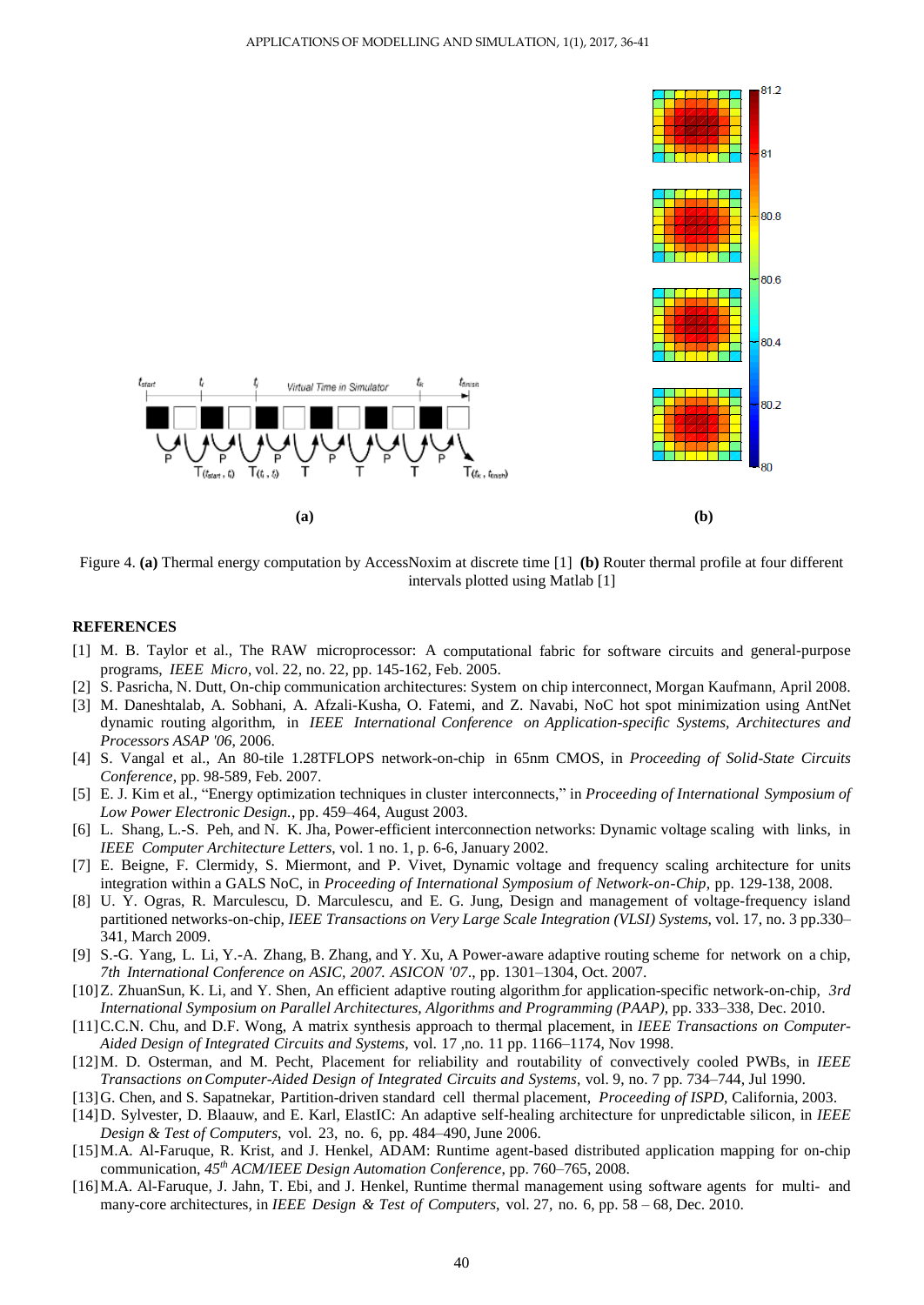

Figure 4. **(a)** Thermal energy computation by AccessNoxim at discrete time [1] **(b)** Router thermal profile at four different intervals plotted using Matlab [1]

### **REFERENCES**

- [1] M. B. Taylor et al., The RAW microprocessor: A computational fabric for software circuits and general-purpose programs, *IEEE Micro*, vol. 22, no. 22, pp. 145-162, Feb. 2005.
- [2] S. Pasricha, N. Dutt, On-chip communication architectures: System on chip interconnect, Morgan Kaufmann, April 2008.
- [3] M. Daneshtalab, A. Sobhani, A. Afzali-Kusha, O. Fatemi, and Z. Navabi, NoC hot spot minimization using AntNet dynamic routing algorithm, in *IEEE International Conference on Application-specific Systems, Architectures and Processors ASAP '06*, 2006.
- [4] S. Vangal et al., An 80-tile 1.28TFLOPS network-on-chip in 65nm CMOS, in *Proceeding of Solid-State Circuits Conference*, pp. 98-589, Feb. 2007.
- [5] E. J. Kim et al., "Energy optimization techniques in cluster interconnects," in *Proceeding of International Symposium of Low Power Electronic Design.*, pp. 459–464, August 2003.
- [6] L. Shang, L.-S. Peh, and N. K. Jha, Power-efficient interconnection networks: Dynamic voltage scaling with links, in *IEEE Computer Architecture Letters*, vol. 1 no. 1, p. 6-6, January 2002.
- [7] E. Beigne, F. Clermidy, S. Miermont, and P. Vivet, Dynamic voltage and frequency scaling architecture for units integration within a GALS NoC, in *Proceeding of International Symposium of Network-on-Chip*, pp. 129-138, 2008.
- [8] U. Y. Ogras, R. Marculescu, D. Marculescu, and E. G. Jung, Design and management of voltage-frequency island partitioned networks-on-chip, *IEEE Transactions on Very Large Scale Integration (VLSI) Systems*, vol. 17, no. 3 pp.330– 341, March 2009.
- [9] S.-G. Yang, L. Li, Y.-A. Zhang, B. Zhang, and Y. Xu, A Power-aware adaptive routing scheme for network on a chip, *7th International Conference on ASIC, 2007. ASICON '07*., pp. 1301–1304, Oct. 2007.
- [10]Z. ZhuanSun, K. Li, and Y. Shen, An efficient adaptive routing algorithm for application-specific network-on-chip, *3rd International Symposium on Parallel Architectures, Algorithms and Programming (PAAP)*, pp. 333–338, Dec. 2010.
- [11]C.C.N. Chu, and D.F. Wong, A matrix synthesis approach to thermal placement, in *IEEE Transactions on Computer-Aided Design of Integrated Circuits and Systems*, vol. 17 ,no. 11 pp. 1166–1174, Nov 1998.
- [12]M. D. Osterman, and M. Pecht, Placement for reliability and routability of convectively cooled PWBs, in *IEEE Transactions onComputer-Aided Design of Integrated Circuits and Systems*, vol. 9, no. 7 pp. 734–744, Jul 1990.
- [13]G. Chen, and S. Sapatnekar, Partition-driven standard cell thermal placement, *Proceeding of ISPD*, California, 2003.
- [14]D. Sylvester, D. Blaauw, and E. Karl, ElastIC: An adaptive self-healing architecture for unpredictable silicon, in *IEEE Design & Test of Computers*, vol. 23, no. 6, pp. 484–490, June 2006.
- [15]M.A. Al-Faruque, R. Krist, and J. Henkel, ADAM: Runtime agent-based distributed application mapping for on-chip communication, *45 th ACM/IEEE Design Automation Conference*, pp. 760–765, 2008.
- [16]M.A. Al-Faruque, J. Jahn*,* T. Ebi, and J. Henkel, Runtime thermal management using software agents for multi- and many-core architectures, in *IEEE Design & Test of Computers*, vol. 27, no. 6, pp. 58 – 68, Dec. 2010.